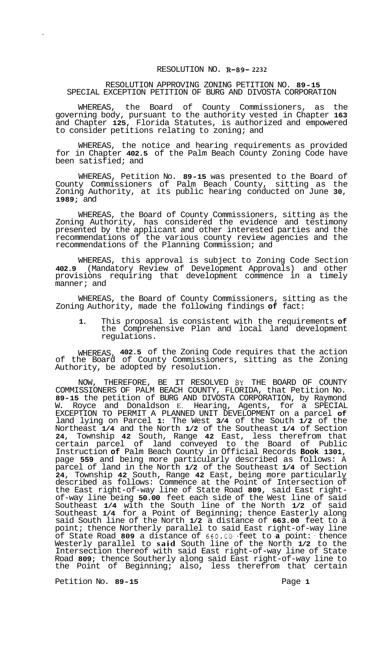## RESOLUTION NO. **R-89- 2232**

## RESOLUTION APPROVING ZONING PETITION NO. **89-15**  SPECIAL EXCEPTION PETITION OF BURG AND DIVOSTA CORPORATION

WHEREAS, the Board of County Commissioners, as the governing body, pursuant to the authority vested in Chapter **163**  and Chapter **125,** Florida Statutes, is authorized and empowered to consider petitions relating to zoning; and

WHEREAS, the notice and hearing requirements as provided for in Chapter **402.5** of the Palm Beach County Zoning Code have been satisfied; and

WHEREAS, Petition No. **89-15** was presented to the Board of County Commissioners of Palm Beach County, sitting as the Zoning Authority, at its public hearing conducted on June **30, 1989;** and

WHEREAS, the Board of County Commissioners, sitting as the Zoning Authority, has considered the evidence and testimony presented by the applicant and other interested parties and the recommendations of the various county review agencies and the recommendations of the Planning Commission; and

WHEREAS, this approval is subject to Zoning Code Section **402.9** (Mandatory Review of Development Approvals) and other provisions requiring that development commence in a timely manner; and

WHEREAS, the Board of County Commissioners, sitting as the Zoning Authority, made the following findings **of** fact:

**1.** This proposal is consistent with the requirements **of**  the Comprehensive Plan and local land development regulations.

WHEREAS, **402.5** of the Zoning Code requires that the action of the Board of County Commissioners, sitting as the Zoning Authority, be adopted by resolution.

NOW, THEREFORE, BE IT RESOLVED &Z THE BOARD OF COUNTY COMMISSIONERS OF PALM BEACH COUNTY, FLORIDA, that Petition No. **89-15** the petition of BURG AND DIVOSTA CORPORATION, by Raymond Royce and Donaldson E. Hearing, Agents, for a SPECIAL EXCEPTION TO PERMIT A PLANNED UNIT DEVELOPMENT on a parcel **of**  land lying on Parcel **1:** The West **3/4** of the South **1/2** of the Northeast **1/4** and the North **1/2** of the Southeast **1/4** of Section **24,** Township **42** South, Range **42** East, less therefrom that certain parcel of land conveyed to the Board of Public Instruction **of** Palm Beach County in Official Records **Book 1301,**  page **559** and being more particularly described as follows: A parcel of land in the North **1/2** of the Southeast **1/4** of Section **24,** Township **42** South, Range **42** East, being more particularly described as follows: Commence at the Point of Intersection of the East right-of-way line of State Road **809,** said East right- of-way line being **50.00** feet each side of the West line of said Southeast **1/4** with the South line of the North **1/2** of said Southeast **1/4** for a Point of Beginning; thence Easterly along said South line of the North **1/2** a distance of **663.00** feet to a point; thence Northerly parallel to said East right-of-way line of State Road **809** a distance of *660.00-* -feet to **-a** point: - thence Westerly parallel to **said** South line of the North **1/2** to the Intersection thereof with said East right-of-way line of State Road **809;** thence Southerly along said East right-of-way line to the Point of Beginning; also, less therefrom that certain

Petition No. **89-15** Page **1**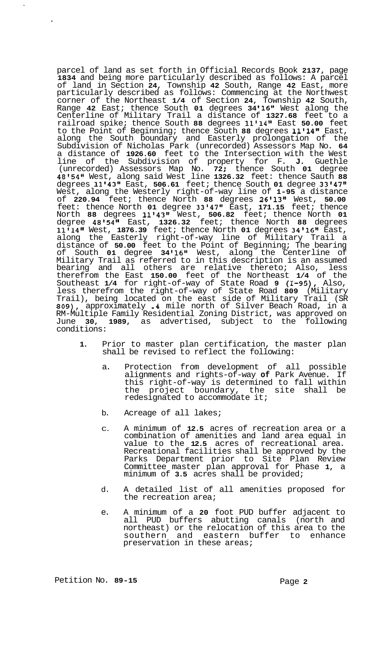parcel of land as set forth in Official Records Book **2137,** page **1834** and being more particularly described as follows: A parcel of land in Section **24,** Township **42** South, Range **42** East, more particularly described as follows: Commencing at the Northwest corner of the Northeast **1/4** of Section **24,** Township **42** South, Range **42** East; thence South **01** degrees **34 '16l'** West along the Centerline of Military Trail a distance of **1327.68** feet to a railroad spike; thence South **88** degrees **11'141w** East **50.00** feet to the Point of Beginning; thence South **88** degrees **1111411** East, along the South boundary and Easterly prolongation of the Subdivision of Nicholas Park (unrecorded) Assessors Map No. **64**  a distance of **1926.60** feet to the Intersection with the West line of the Subdivision of property for F. **J.** Guethle (unrecorded) Assessors Map No. **72** ; thence South **01** degree **48154f1** West, along said West line **1326.32** feet: thence Sauth **88**  degrees **11'43'l** East, **506.61** feet; thence South **01** degree **33'47''**  West, along the Westerly right-of-way line of **1-95** a distance of **220.94** feet; thence North **88** degrees **26'1388** West, **50.00**  feet: thence North **01** degree **33'47"** East, **171.15** feet; thence North **88** degrees **11143v1** West, **506.82** feet; thence North **01**  degree **48'54''** East, **1326.32** feet; thence North **88** degrees **11114tl** West, **1876.39** feet; thence North **01** degrees **34'16''** East, along the Easterly right-of-way line of Military Trail a distance of **50.00** feet to the Point of Beginning; The bearing of South **01** degree **34 '16l'** West, along the Centerline of Military Trail as referred to in this description is an assumed bearing and all others are relative thereto; Also, less therefrom the East **150.00** feet of the Northeast **1/4** of the Southeast **1/4** for right-of-way of State Road **9 (I-95),** Also, less therefrom the right-of-way of State Road **809** (Military Trail), being located on the east side of Military Trail (SR **809),** approximately **.4** mile north of Silver Beach Road, in a RM-Multiple Family Residential Zoning District, was approved on June **30, 1989,** as advertised, subject to the following conditions:

- **1.** Prior to master plan certification, the master plan shall be revised to reflect the following:
	- a. Protection from development of all possible alignments and rights-of-way **of** Park Avenue. If this right-of-way is determined to fall within the project boundary, the site shall be redesignated to accommodate it;
	- b. Acreage of all lakes;
	- C. A minimum of **12.5** acres of recreation area or a combination of amenities and land area equal in value to the **12.5** acres of recreational area. Recreational facilities shall be approved by the Parks Department prior to Site Plan Review Committee master plan approval for Phase **1,** a minimum of **3.5** acres shall be provided;
	- d. A detailed list of all amenities proposed for the recreation area;
	- e. A minimum of a **20** foot PUD buffer adjacent to all PUD buffers abutting canals (north and northeast) or the relocation of this area to the southern and eastern buffer to enhance preservation in these areas;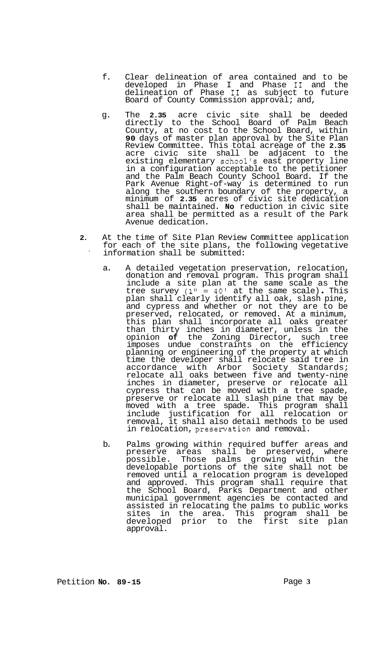- f. Clear delineation of area contained and to be developed in Phase I and Phase I1 and the delineation of Phase I1 as subject to future Board of County Commission approval; and,
- g. The **2.35** acre civic site shall be deeded directly to the School Board of Palm Beach County, at no cost to the School Board, within **90** days of master plan approval by the Site Plan Review Committee. This total acreage of the **2.35**  acre civic site shall be adjacent to the existing elementary school's east property line in a configuration acceptable to the petitioner and the Palm Beach County School Board. If the Park Avenue Right-of-way is determined to run along the southern boundary of the property, a minimum of **2.35** acres of civic site dedication shall be maintained. **No** reduction in civic site area shall be permitted as a result of the Park Avenue dedication.
- **2.** At the time of Site Plan Review Committee application for each of the site plans, the following vegetative ' information shall be submitted:
	- a. A detailed vegetation preservation, relocation, donation and removal program. This program shall include a site plan at the same scale as the tree survey **(1"** = **40'** at the same scale) . This plan shall clearly identify all oak, slash pine, and cypress and whether or not they are to be preserved, relocated, or removed. At a minimum, this plan shall incorporate all oaks greater than thirty inches in diameter, unless in the opinion **of** the Zoning Director, such tree imposes undue constraints on the efficiency planning or engineering of the property at which time the developer shall relocate said tree in accordance with Arbor Society Standards; relocate all oaks between five and twenty-nine inches in diameter, preserve or relocate all cypress that can be moved with a tree spade, preserve or relocate all slash pine that may be moved with a tree spade. This program shall include justification for all relocation or removal, it shall also detail methods to be used in relocation, presenration and removal.
	- b. Palms growing within required buffer areas and preserve areas shall be preserved, where possible. Those palms growing within the developable portions of the site shall not be removed until a relocation program is developed and approved. This program shall require that the School Board, Parks Department and other municipal government agencies be contacted and assisted in relocating the palms to public works sites in the area. This program shall be developed prior to the first site plan approval.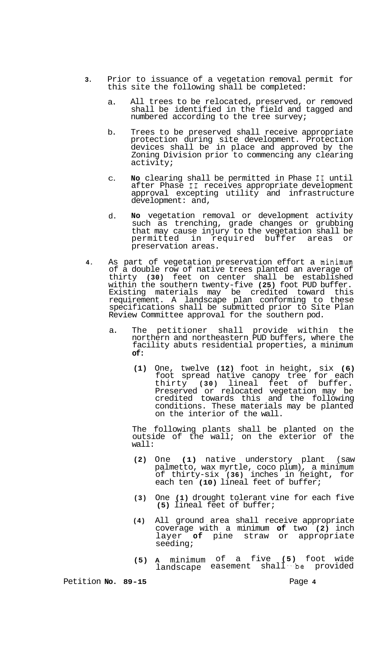- **3.** Prior to issuance of a vegetation removal permit for this site the following shall be completed:
	- a. All trees to be relocated, preserved, or removed shall be identified in the field and tagged and numbered according to the tree survey;
	- b. Trees to be preserved shall receive appropriate protection during site development. Protection devices shall be in place and approved by the Zoning Division prior to commencing any clearing activity;
	- C. **No** clearing shall be permitted in Phase **I1** until after Phase **I1** receives appropriate development approval excepting utility and infrastructure development: and,
	- d. **No** vegetation removal or development activity such as trenching, grade changes or grubbing that may cause injury to the vegetation shall be permitted in required buffer areas or preservation areas.
- **4.** As part of vegetation preservation effort a minimum of a double row of native trees planted an average of thirty **(30)** feet on center shall be established within the southern twenty-five **(25)** foot PUD buffer. Existing materials may be credited toward this requirement. A landscape plan conforming to these specifications shall be submitted prior to Site Plan Review Committee approval for the southern pod.
	- a. The petitioner shall provide within the northern and northeastern PUD buffers, where the facility abuts residential properties, a minimum **of:** 
		- **(1)** One, twelve **(12)** foot in height, six **(6)**  foot spread native canopy tree for each thirty **(30)** lineal feet of buffer. Preserved or relocated vegetation may be credited towards this and the following conditions. These materials may be planted on the interior of the wall.

The following plants shall be planted on the outside of the wall; on the exterior of the wall:

- **(2)** One **(1)** native understory plant (saw palmetto, wax myrtle, coco plum), a minimum of thirty-six **(36)** inches in height, for each ten **(10)** lineal feet of buffer;
- **(3)** One **(1)** drought tolerant vine for each five **(5)** lineal feet of buffer;
- **(4)** All ground area shall receive appropriate coverage with a minimum **of** two **(2)** inch layer **of** pine straw or appropriate seeding;
- **(5) A** minimum of a five **(5)** foot wide landscape easement shall be provided

Petition **No. 89-15** Page 4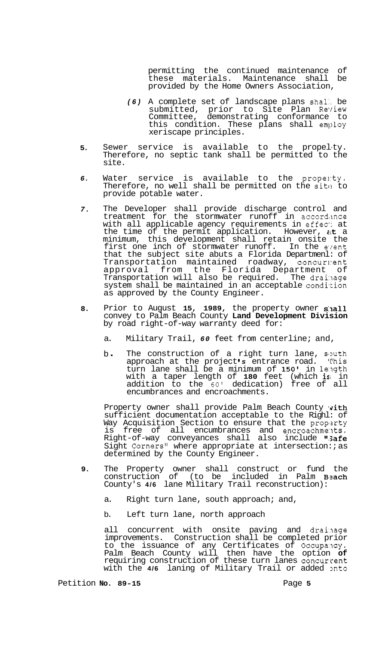permitting the continued maintenance of these materials. Maintenance shall be provided by the Home Owners Association,

- *(6)* A complete set of landscape plans shal:. be submitted, prior to Site Plan Reyiew Committee, demonstrating conformance to this condition. These plans shall  $emplyo$ xeriscape principles.
- **5.**  Sewer service is available to the propel-ty. Therefore, no septic tank shall be permitted to the site.
- *6.*  Water service is available to the propenty. Therefore, no well shall be permitted on the site to provide potable water.
- *7.*  The Developer shall provide discharge control and treatment for the stormwater runoff in accordance with all applicable agency requirements in effect at the time of the permit application. However,  $a$ t a minimum, this development shall retain onsite the first one inch of stormwater runoff. In the eyent that the subject site abuts a Florida Departmenl: of Transportation maintained roadway, concur1:ent approval from the Florida Department of Transportation will also be required. The drainage system shall be maintained in an acceptable condition as approved by the County Engineer.
- **8.**  Prior to August **15, 1989,** the property owner s:lall convey to Palm Beach County **Land Development Division**  by road right-of-way warranty deed for:
	- a. Military Trail, *60* feet from centerline; and,
	- b. The construction of a right turn lane, sputh approach at the project **I** *s* entrance road. This turn lane shall be a minimum of 150' in length with a taper length of **180** feet (which is; in addition to the *60'* dedication) free of all encumbrances and encroachments.

Property owner shall provide Palm Beach County with sufficient documentation acceptable to the Righl: of Way Acquisition Section to ensure that the property is free of all encumbrances and encroachme:lts. Right-of-way conveyances shall also include "S**afe** Sight Corners" where appropriate at intersection:; as determined by the County Engineer.

- **9.**  The Property owner shall construct or fund the construction of (to be included in Palm Beach County's **4/6** lane Military Trail reconstruction):
	- a. Right turn lane, south approach; and,
	- b. Left turn lane, north approach

all concurrent with onsite paving and drainage improvements. Construction shall be completed prior to the issuance of any Certificates of Occupancy. Palm Beach County will then have the option **of**  requiring construction of these turn lanes concurrent with the 4/6 laning of Military Trail or added onto

Petition **No. 89-15 Page 5**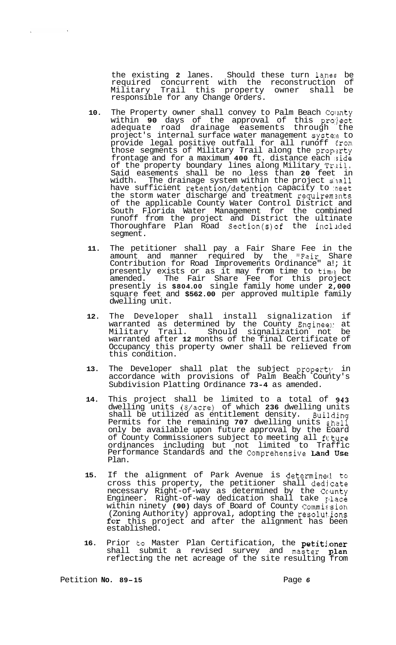the existing **2** lanes. Should these turn lanes be required concurrent with the reconstruction of Military Trail this property owner shall be responsible for any Change Orders.

- **10.** The Property owner shall convey to Palm Beach Collnty within **90** days of the approval of this pro:ject adequate road drainage easements through the project's internal surface water management systeln to provide legal positive outfall for all runoff from those segments of Military Trail along the property frontage and for a maximum **400** ft. distance each ,side of the property boundary lines along Military Trail. Said easements shall be no less than **20** feet in width. The drainage system within the project s'lall have sufficient retention/detention capacity to ,neet the storm water discharge and treatment requirements of the applicable County Water Control District and South Florida Water Management for the combined runoff from the project and District the ultinate Thoroughfare Plan Road Section(s)of the incllded segment.
- **11.** The petitioner shall pay a Fair Share Fee in the amount and manner required by the "Fair Share Contribution for Road Improvements Ordinance" a!; it presently exists or as it may from time to timl: be amended. The Fair Share Fee for this project presently is **\$804.00** single family home under **2,000**  square feet and **\$562.00** per approved multiple family dwelling unit.
- **12.** The Developer shall install signalization if warranted as determined by the County Engineel: at Military Trail. Should signalization not be warranted after **12** months of the final Certificate of Occupancy this property owner shall be relieved from this condition.
- 13. The Developer shall plat the subject property in accordance with provisions of Palm Beach County's Subdivision Platting Ordinance **73-4** as amended.
- **14.** This project shall be limited to a total of **943**  dwelling units (8/acre) of which **236** dwelling units shall be utilized as entitlement density. Building Permits for the remaining **707** dwelling units shall only be available upon future approval by the Eoard of County Commissioners subject to meeting all future ordinances including but not limited to Traffic Performance Standards and the Comprehensive Land Use Plan.
- 15. If the alignment of Park Avenue is determined to cross this property, the petitioner shall dedjcate necessary Right-of-way as determined by the Ccanty Engineer. Right-of-way dedication shall take lace within ninety **(90)** days of Board of County Commis sion (Zoning Authority) approval, adopting the resolut.ions for this project and after the alignment has been established.
- 16. Prior to Master Plan Certification, the petitioner shall submit a revised survey and master plan reflecting the net acreage of the site resulting from